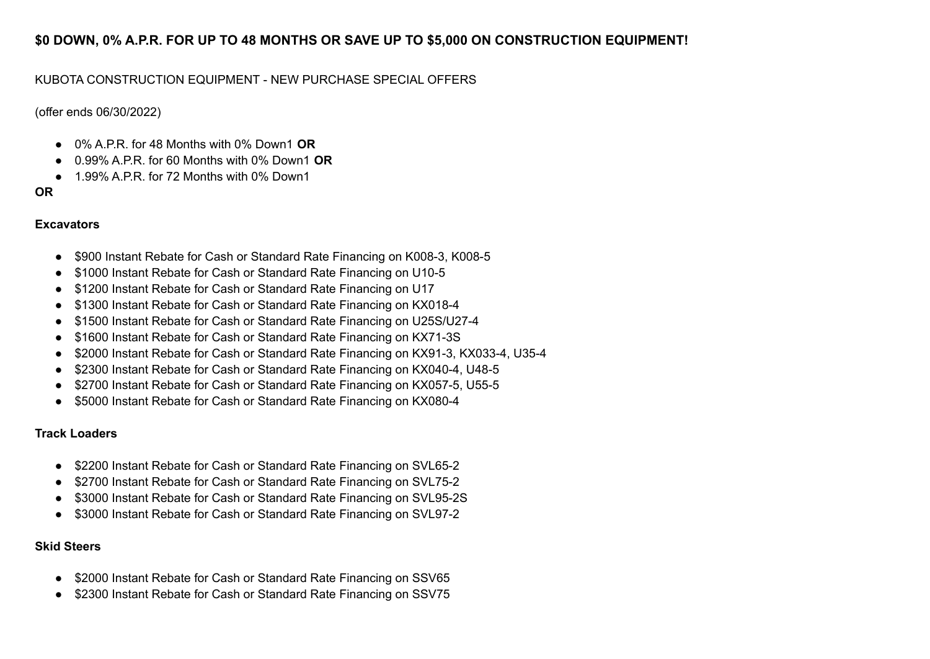# **\$0 DOWN, 0% A.P.R. FOR UP TO 48 MONTHS OR SAVE UP TO \$5,000 ON CONSTRUCTION EQUIPMENT!**

# KUBOTA CONSTRUCTION EQUIPMENT - NEW PURCHASE SPECIAL OFFERS

(offer ends 06/30/2022)

- 0% A.P.R. for 48 Months with 0% Down1 **OR**
- 0.99% A.P.R. for 60 Months with 0% Down1 **OR**
- $\bullet$  1.99% A.P.R. for 72 Months with 0% Down1

# **OR**

# **Excavators**

- \$900 Instant Rebate for Cash or Standard Rate Financing on K008-3, K008-5
- \$1000 Instant Rebate for Cash or Standard Rate Financing on U10-5
- \$1200 Instant Rebate for Cash or Standard Rate Financing on U17
- \$1300 Instant Rebate for Cash or Standard Rate Financing on KX018-4
- \$1500 Instant Rebate for Cash or Standard Rate Financing on U25S/U27-4
- \$1600 Instant Rebate for Cash or Standard Rate Financing on KX71-3S
- \$2000 Instant Rebate for Cash or Standard Rate Financing on KX91-3, KX033-4, U35-4
- \$2300 Instant Rebate for Cash or Standard Rate Financing on KX040-4, U48-5
- \$2700 Instant Rebate for Cash or Standard Rate Financing on KX057-5, U55-5
- \$5000 Instant Rebate for Cash or Standard Rate Financing on KX080-4

#### **Track Loaders**

- \$2200 Instant Rebate for Cash or Standard Rate Financing on SVL65-2
- \$2700 Instant Rebate for Cash or Standard Rate Financing on SVL75-2
- \$3000 Instant Rebate for Cash or Standard Rate Financing on SVL95-2S
- \$3000 Instant Rebate for Cash or Standard Rate Financing on SVL97-2

#### **Skid Steers**

- \$2000 Instant Rebate for Cash or Standard Rate Financing on SSV65
- \$2300 Instant Rebate for Cash or Standard Rate Financing on SSV75